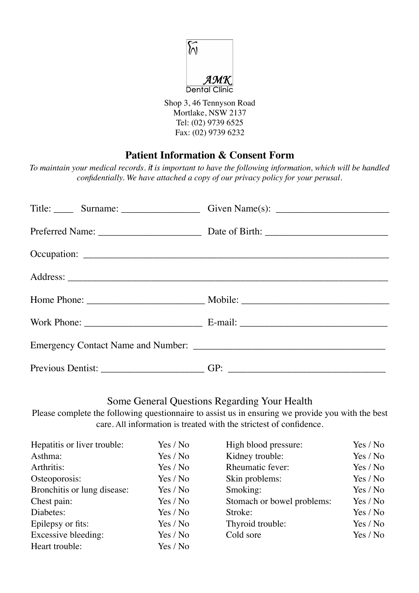

Shop 3, 46 Tennyson Road Mortlake, NSW 2137 Tel: (02) 9739 6525 Fax: (02) 9739 6232

## **Patient Information & Consent Form**

*To maintain your medical records. it is important to have the following information, which will be handled confidentially. We have attached a copy of our privacy policy for your perusal.*

### Some General Questions Regarding Your Health

Please complete the following questionnaire to assist us in ensuring we provide you with the best care. All information is treated with the strictest of confidence.

| Hepatitis or liver trouble: | Yes / No | High blood pressure:       | Yes / No |
|-----------------------------|----------|----------------------------|----------|
| Asthma:                     | Yes / No | Kidney trouble:            | Yes / No |
| Arthritis:                  | Yes / No | Rheumatic fever:           | Yes / No |
| Osteoporosis:               | Yes / No | Skin problems:             | Yes / No |
| Bronchitis or lung disease: | Yes / No | Smoking:                   | Yes / No |
| Chest pain:                 | Yes / No | Stomach or bowel problems: | Yes / No |
| Diabetes:                   | Yes / No | Stroke:                    | Yes / No |
| Epilepsy or fits:           | Yes / No | Thyroid trouble:           | Yes / No |
| Excessive bleeding:         | Yes / No | Cold sore                  | Yes / No |
| Heart trouble:              | Yes / No |                            |          |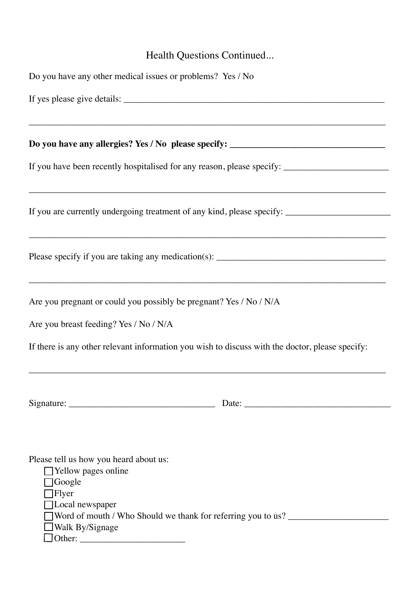# Health Questions Continued...

| Do you have any other medical issues or problems? Yes / No                                                                                                                                                   |                                                                                                                                                                     |  |  |  |
|--------------------------------------------------------------------------------------------------------------------------------------------------------------------------------------------------------------|---------------------------------------------------------------------------------------------------------------------------------------------------------------------|--|--|--|
|                                                                                                                                                                                                              |                                                                                                                                                                     |  |  |  |
|                                                                                                                                                                                                              |                                                                                                                                                                     |  |  |  |
| If you have been recently hospitalised for any reason, please specify: _____________________________                                                                                                         | ,我们也不能在这里的时候,我们也不能会在这里,我们也不能会在这里,我们也不能会在这里,我们也不能会在这里的时候,我们也不能会在这里,我们也不能会不能会不能会。<br>第2012章 我们的时候,我们的时候,我们的时候,我们的时候,我们的时候,我们的时候,我们的时候,我们的时候,我们的时候,我们的时候,我们的时候,我们的时候,我 |  |  |  |
| If you are currently undergoing treatment of any kind, please specify: _____________________________                                                                                                         |                                                                                                                                                                     |  |  |  |
|                                                                                                                                                                                                              |                                                                                                                                                                     |  |  |  |
| Are you pregnant or could you possibly be pregnant? Yes / No / N/A<br>Are you breast feeding? Yes / No / N/A                                                                                                 |                                                                                                                                                                     |  |  |  |
| If there is any other relevant information you wish to discuss with the doctor, please specify:                                                                                                              |                                                                                                                                                                     |  |  |  |
| Signature: $\frac{1}{\sqrt{1-\frac{1}{2}} \cdot \frac{1}{2}}$                                                                                                                                                |                                                                                                                                                                     |  |  |  |
| Please tell us how you heard about us:<br>$\Box$ Yellow pages online<br>$\Box$ Google<br>$\Box$ Flyer<br>□Local newspaper<br>Word of mouth / Who Should we thank for referring you to us?<br>Walk By/Signage |                                                                                                                                                                     |  |  |  |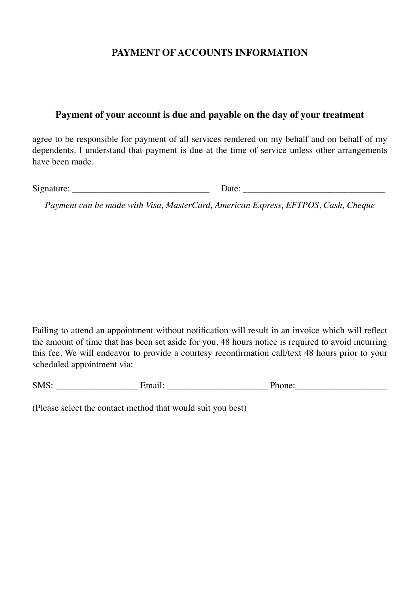## **PAYMENT OF ACCOUNTS INFORMATION**

#### **Payment of your account is due and payable on the day of your treatment**

agree to be responsible for payment of all services rendered on my behalf and on behalf of my dependents. I understand that payment is due at the time of service unless other arrangements have been made.

Signature: <u>Date:</u> 2014

*Payment can be made with Visa, MasterCard, American Express, EFTPOS, Cash, Cheque*

Failing to attend an appointment without notification will result in an invoice which will reflect the amount of time that has been set aside for you. 48 hours notice is required to avoid incurring this fee. We will endeavor to provide a courtesy reconfirmation call/text 48 hours prior to your scheduled appointment via:

| C <sub>1</sub> IC<br>5.VL<br>$\sim$ | $\bullet$ | $\sim$<br> |
|-------------------------------------|-----------|------------|
|                                     |           |            |

(Please select the contact method that would suit you best)